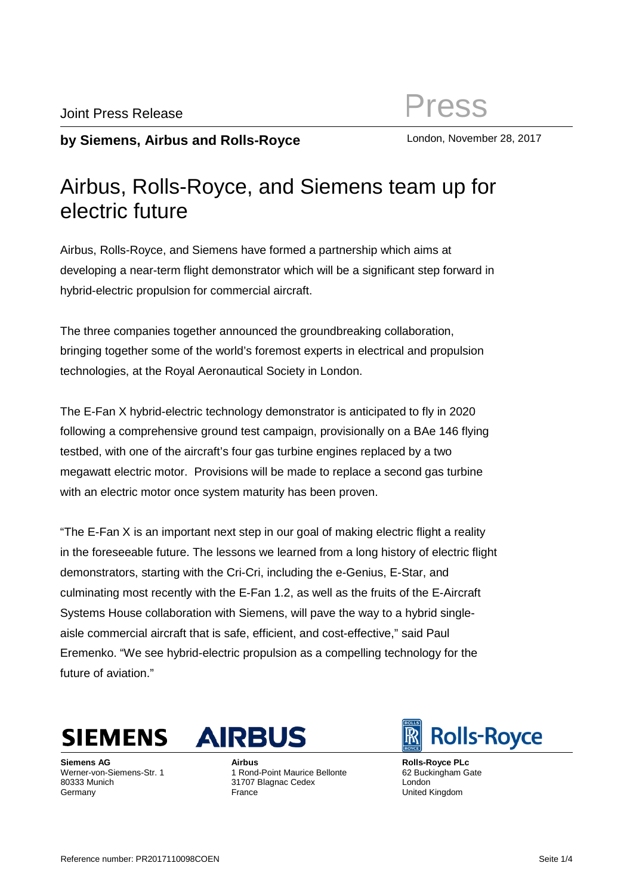## **by Siemens, Airbus and Rolls-Royce** London, November 28, 2017

## Airbus, Rolls-Royce, and Siemens team up for electric future

Airbus, Rolls-Royce, and Siemens have formed a partnership which aims at developing a near-term flight demonstrator which will be a significant step forward in hybrid-electric propulsion for commercial aircraft.

The three companies together announced the groundbreaking collaboration, bringing together some of the world's foremost experts in electrical and propulsion technologies, at the Royal Aeronautical Society in London.

The E-Fan X hybrid-electric technology demonstrator is anticipated to fly in 2020 following a comprehensive ground test campaign, provisionally on a BAe 146 flying testbed, with one of the aircraft's four gas turbine engines replaced by a two megawatt electric motor. Provisions will be made to replace a second gas turbine with an electric motor once system maturity has been proven.

"The E-Fan X is an important next step in our goal of making electric flight a reality in the foreseeable future. The lessons we learned from a long history of electric flight demonstrators, starting with the Cri-Cri, including the e-Genius, E-Star, and culminating most recently with the E-Fan 1.2, as well as the fruits of the E-Aircraft Systems House collaboration with Siemens, will pave the way to a hybrid singleaisle commercial aircraft that is safe, efficient, and cost-effective," said Paul Eremenko. "We see hybrid-electric propulsion as a compelling technology for the future of aviation."

**SIEMENS** 

**Siemens AG** Werner-von-Siemens-Str. 1 80333 Munich Germany



**Airbus** 1 Rond-Point Maurice Bellonte 31707 Blagnac Cedex France

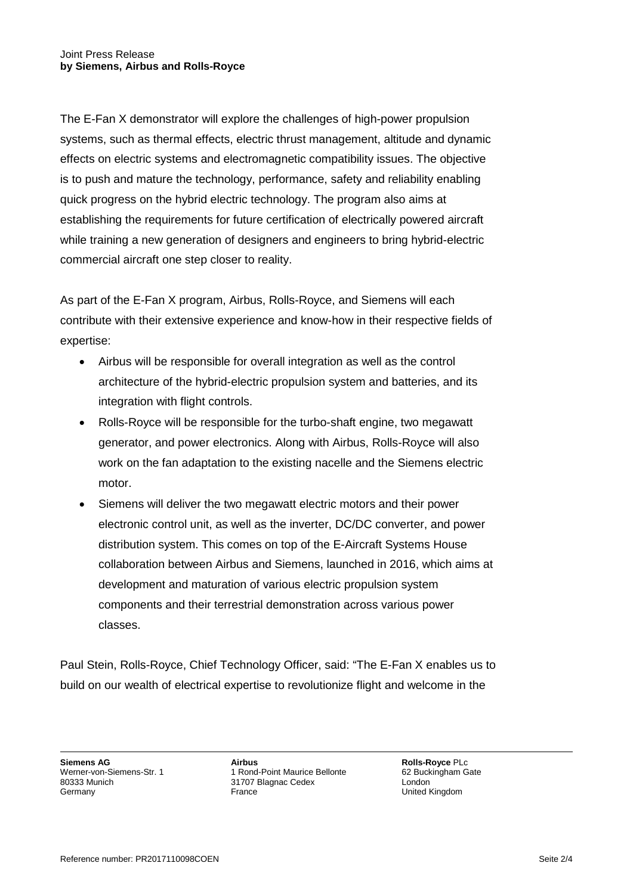The E-Fan X demonstrator will explore the challenges of high-power propulsion systems, such as thermal effects, electric thrust management, altitude and dynamic effects on electric systems and electromagnetic compatibility issues. The objective is to push and mature the technology, performance, safety and reliability enabling quick progress on the hybrid electric technology. The program also aims at establishing the requirements for future certification of electrically powered aircraft while training a new generation of designers and engineers to bring hybrid-electric commercial aircraft one step closer to reality.

As part of the E-Fan X program, Airbus, Rolls-Royce, and Siemens will each contribute with their extensive experience and know-how in their respective fields of expertise:

- Airbus will be responsible for overall integration as well as the control architecture of the hybrid-electric propulsion system and batteries, and its integration with flight controls.
- Rolls-Royce will be responsible for the turbo-shaft engine, two megawatt generator, and power electronics. Along with Airbus, Rolls-Royce will also work on the fan adaptation to the existing nacelle and the Siemens electric motor.
- Siemens will deliver the two megawatt electric motors and their power electronic control unit, as well as the inverter, DC/DC converter, and power distribution system. This comes on top of the E-Aircraft Systems House collaboration between Airbus and Siemens, launched in 2016, which aims at development and maturation of various electric propulsion system components and their terrestrial demonstration across various power classes.

Paul Stein, Rolls-Royce, Chief Technology Officer, said: "The E-Fan X enables us to build on our wealth of electrical expertise to revolutionize flight and welcome in the

**Siemens AG** Werner-von-Siemens-Str. 1 80333 Munich Germany

**Airbus** 1 Rond-Point Maurice Bellonte 31707 Blagnac Cedex France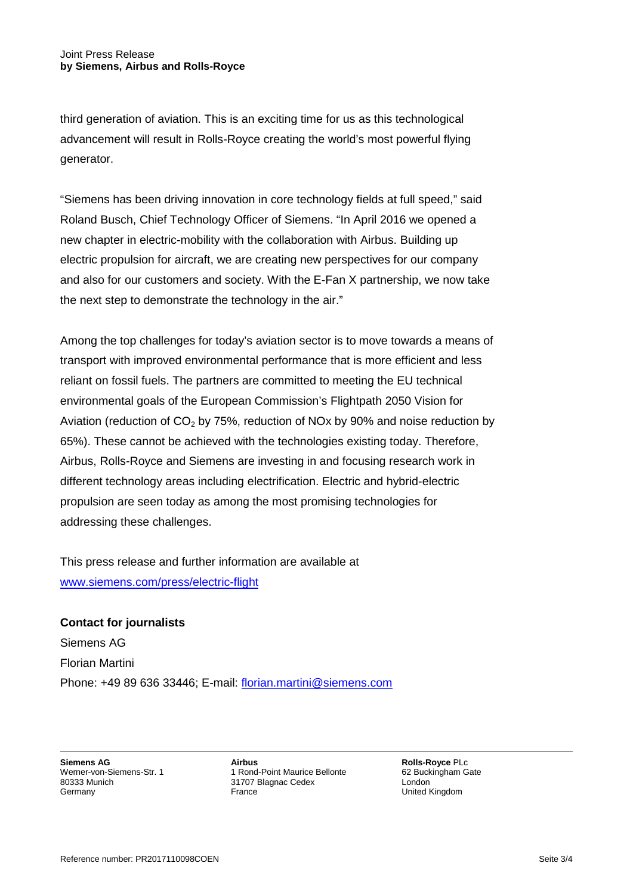third generation of aviation. This is an exciting time for us as this technological advancement will result in Rolls-Royce creating the world's most powerful flying generator.

"Siemens has been driving innovation in core technology fields at full speed," said Roland Busch, Chief Technology Officer of Siemens. "In April 2016 we opened a new chapter in electric-mobility with the collaboration with Airbus. Building up electric propulsion for aircraft, we are creating new perspectives for our company and also for our customers and society. With the E-Fan X partnership, we now take the next step to demonstrate the technology in the air."

Among the top challenges for today's aviation sector is to move towards a means of transport with improved environmental performance that is more efficient and less reliant on fossil fuels. The partners are committed to meeting the EU technical environmental goals of the European Commission's Flightpath 2050 Vision for Aviation (reduction of  $CO<sub>2</sub>$  by 75%, reduction of NOx by 90% and noise reduction by 65%). These cannot be achieved with the technologies existing today. Therefore, Airbus, Rolls-Royce and Siemens are investing in and focusing research work in different technology areas including electrification. Electric and hybrid-electric propulsion are seen today as among the most promising technologies for addressing these challenges.

This press release and further information are available at [www.siemens.com/press/electric-flight](http://www.siemens.com/press/electric-flight)

**Contact for journalists** Siemens AG Florian Martini Phone: +49 89 636 33446; E-mail: [florian.martini@siemens.com](mailto:florian.martini@siemens.com)

**Siemens AG** Werner-von-Siemens-Str. 1 80333 Munich Germany

**Airbus** 1 Rond-Point Maurice Bellonte 31707 Blagnac Cedex France